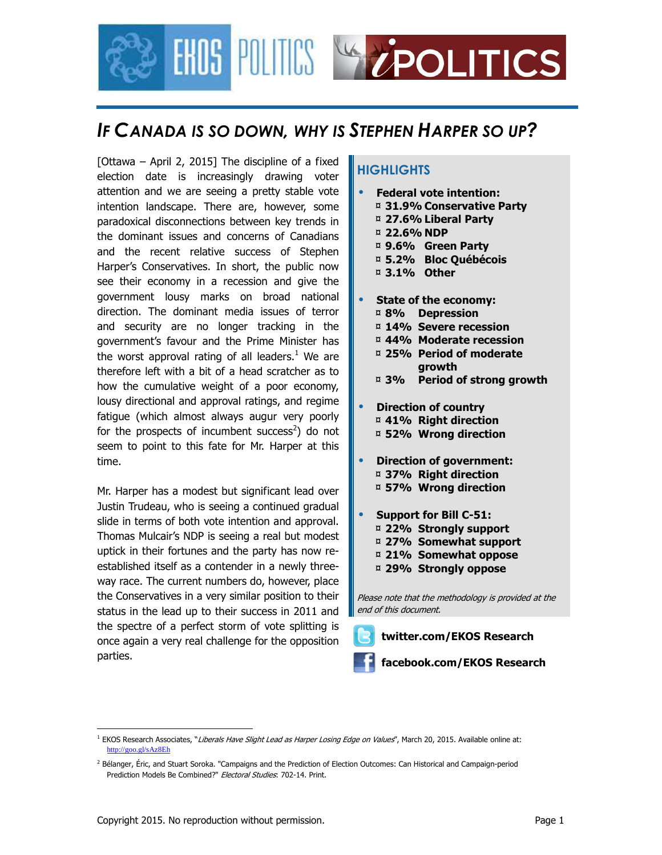

### *IF CANADA IS SO DOWN, WHY IS STEPHEN HARPER SO UP?*

[Ottawa – April 2, 2015] The discipline of a fixed election date is increasingly drawing voter attention and we are seeing a pretty stable vote intention landscape. There are, however, some paradoxical disconnections between key trends in the dominant issues and concerns of Canadians and the recent relative success of Stephen Harper's Conservatives. In short, the public now see their economy in a recession and give the government lousy marks on broad national direction. The dominant media issues of terror and security are no longer tracking in the government's favour and the Prime Minister has the worst approval rating of all leaders. $1$  We are therefore left with a bit of a head scratcher as to how the cumulative weight of a poor economy, lousy directional and approval ratings, and regime fatigue (which almost always augur very poorly for the prospects of incumbent success<sup>2</sup>) do not seem to point to this fate for Mr. Harper at this time.

Mr. Harper has a modest but significant lead over Justin Trudeau, who is seeing a continued gradual slide in terms of both vote intention and approval. Thomas Mulcair's NDP is seeing a real but modest uptick in their fortunes and the party has now reestablished itself as a contender in a newly threeway race. The current numbers do, however, place the Conservatives in a very similar position to their status in the lead up to their success in 2011 and the spectre of a perfect storm of vote splitting is once again a very real challenge for the opposition parties.

### **HIGHLIGHTS**

- **Federal vote intention:**  ¤ **31.9% Conservative Party** 
	- ¤ **27.6% Liberal Party**
	- ¤ **22.6% NDP**
	- ¤ **9.6% Green Party**
	- ¤ **5.2% Bloc Québécois**
	- ¤ **3.1% Other**
- **State of the economy:** 
	- ¤ **8% Depression**
	- ¤ **14% Severe recession**
	- ¤ **44% Moderate recession**
	- ¤ **25% Period of moderate growth**
	- ¤ **3% Period of strong growth**
- **Direction of country**  ¤ **41% Right direction**  ¤ **52% Wrong direction**
- **Direction of government:**  ¤ **37% Right direction**  ¤ **57% Wrong direction**
- **Support for Bill C-51:** 
	- ¤ **22% Strongly support**
	- ¤ **27% Somewhat support**
	- ¤ **21% Somewhat oppose**
	- ¤ **29% Strongly oppose**

Please note that the methodology is provided at the end of this document.

- **twitter.com/EKOS Research** 
	- **facebook.com/EKOS Research**

<u>.</u>

<sup>&</sup>lt;sup>1</sup> EKOS Research Associates, "*Liberals Have Slight Lead as Harper Losing Edge on Values"*, March 20, 2015. Available online at: http://goo.gl/sAz8Eh

<sup>&</sup>lt;sup>2</sup> Bélanger, Éric, and Stuart Soroka. "Campaigns and the Prediction of Election Outcomes: Can Historical and Campaign-period Prediction Models Be Combined?" Electoral Studies: 702-14. Print.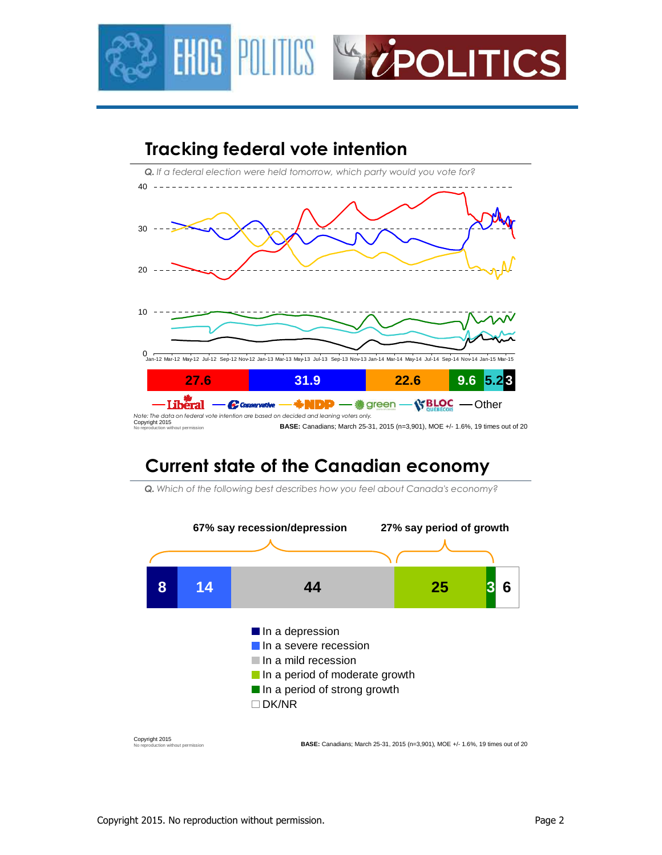



## **Current state of the Canadian economy**



*Q. Which of the following best describes how you feel about Canada's economy?*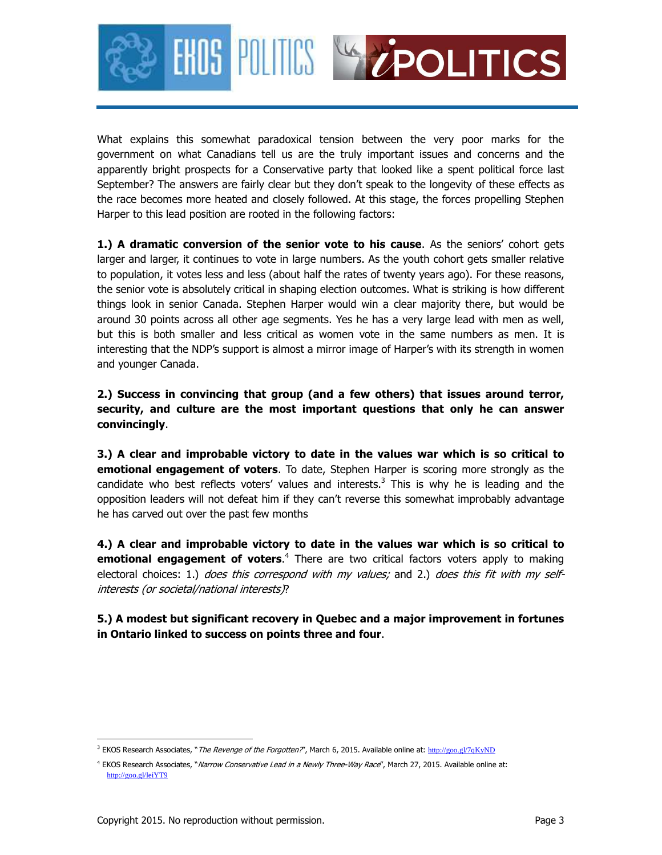



What explains this somewhat paradoxical tension between the very poor marks for the government on what Canadians tell us are the truly important issues and concerns and the apparently bright prospects for a Conservative party that looked like a spent political force last September? The answers are fairly clear but they don't speak to the longevity of these effects as the race becomes more heated and closely followed. At this stage, the forces propelling Stephen Harper to this lead position are rooted in the following factors:

**1.) A dramatic conversion of the senior vote to his cause**. As the seniors' cohort gets larger and larger, it continues to vote in large numbers. As the youth cohort gets smaller relative to population, it votes less and less (about half the rates of twenty years ago). For these reasons, the senior vote is absolutely critical in shaping election outcomes. What is striking is how different things look in senior Canada. Stephen Harper would win a clear majority there, but would be around 30 points across all other age segments. Yes he has a very large lead with men as well, but this is both smaller and less critical as women vote in the same numbers as men. It is interesting that the NDP's support is almost a mirror image of Harper's with its strength in women and younger Canada.

**2.) Success in convincing that group (and a few others) that issues around terror, security, and culture are the most important questions that only he can answer convincingly**.

**3.) A clear and improbable victory to date in the values war which is so critical to emotional engagement of voters**. To date, Stephen Harper is scoring more strongly as the candidate who best reflects voters' values and interests.<sup>3</sup> This is why he is leading and the opposition leaders will not defeat him if they can't reverse this somewhat improbably advantage he has carved out over the past few months

**4.) A clear and improbable victory to date in the values war which is so critical to emotional engagement of voters.**<sup>4</sup> There are two critical factors voters apply to making electoral choices: 1.) does this correspond with my values; and 2.) does this fit with my selfinterests (or societal/national interests)?

**5.) A modest but significant recovery in Quebec and a major improvement in fortunes in Ontario linked to success on points three and four**.

<u>.</u>

<sup>&</sup>lt;sup>3</sup> EKOS Research Associates, "*The Revenge of the Forgotten?*", March 6, 2015. Available online at: http://goo.gl/7qKyND

<sup>&</sup>lt;sup>4</sup> EKOS Research Associates, "*Narrow Conservative Lead in a Newly Three-Way Race"*, March 27, 2015. Available online at: http://goo.gl/leiYT9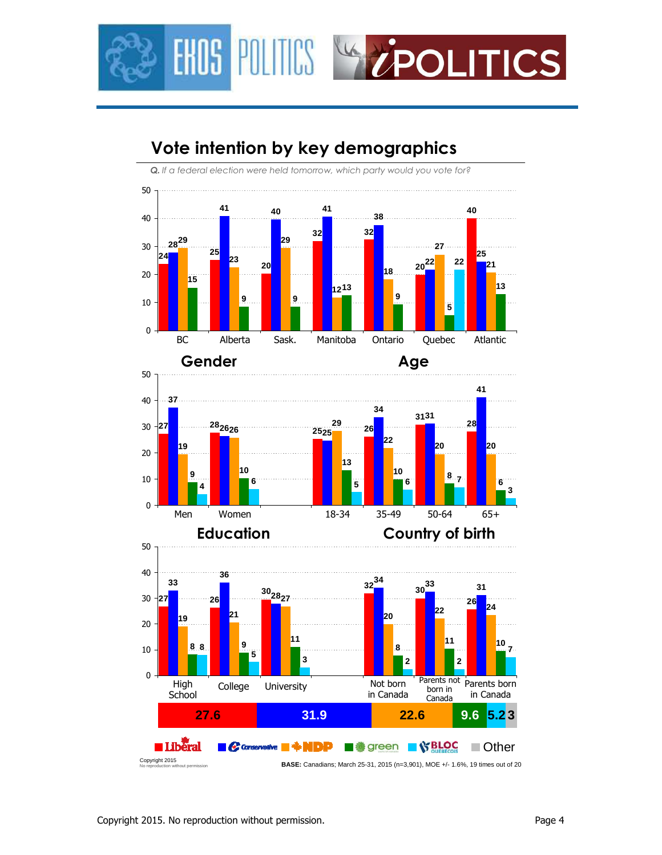

# **Vote intention by key demographics**

*Q. If a federal election were held tomorrow, which party would you vote for?*





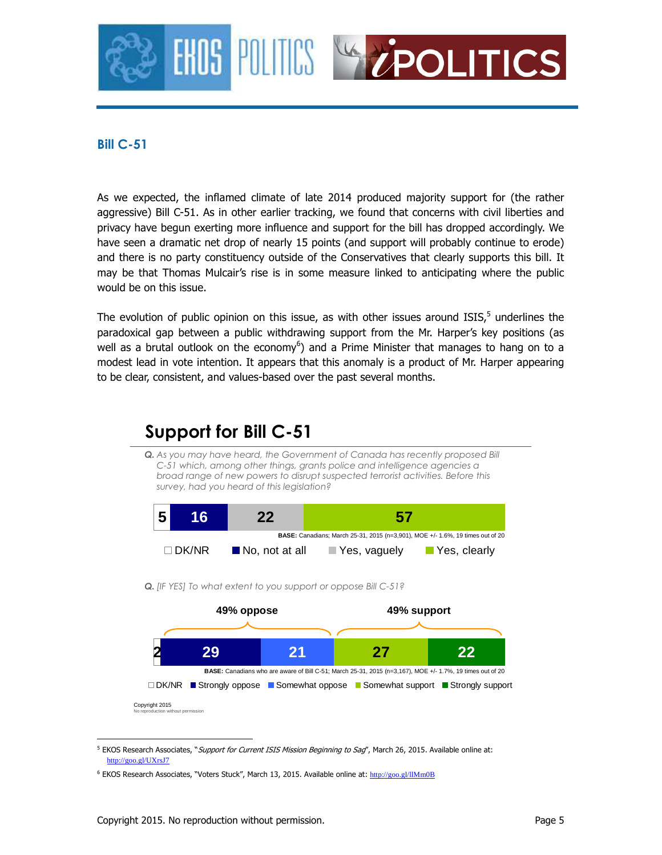

### **Bill C-51**

As we expected, the inflamed climate of late 2014 produced majority support for (the rather aggressive) Bill C-51. As in other earlier tracking, we found that concerns with civil liberties and privacy have begun exerting more influence and support for the bill has dropped accordingly. We have seen a dramatic net drop of nearly 15 points (and support will probably continue to erode) and there is no party constituency outside of the Conservatives that clearly supports this bill. It may be that Thomas Mulcair's rise is in some measure linked to anticipating where the public would be on this issue.

The evolution of public opinion on this issue, as with other issues around  $ISS<sub>5</sub>$  underlines the paradoxical gap between a public withdrawing support from the Mr. Harper's key positions (as well as a brutal outlook on the economy<sup>6</sup>) and a Prime Minister that manages to hang on to a modest lead in vote intention. It appears that this anomaly is a product of Mr. Harper appearing to be clear, consistent, and values-based over the past several months.



<sup>&</sup>lt;sup>5</sup> EKOS Research Associates, "Support for Current ISIS Mission Beginning to Sag", March 26, 2015. Available online at: http://goo.gl/UXrsJ7

<u>.</u>

<sup>&</sup>lt;sup>6</sup> EKOS Research Associates, "Voters Stuck", March 13, 2015. Available online at: http://goo.gl/llMm0B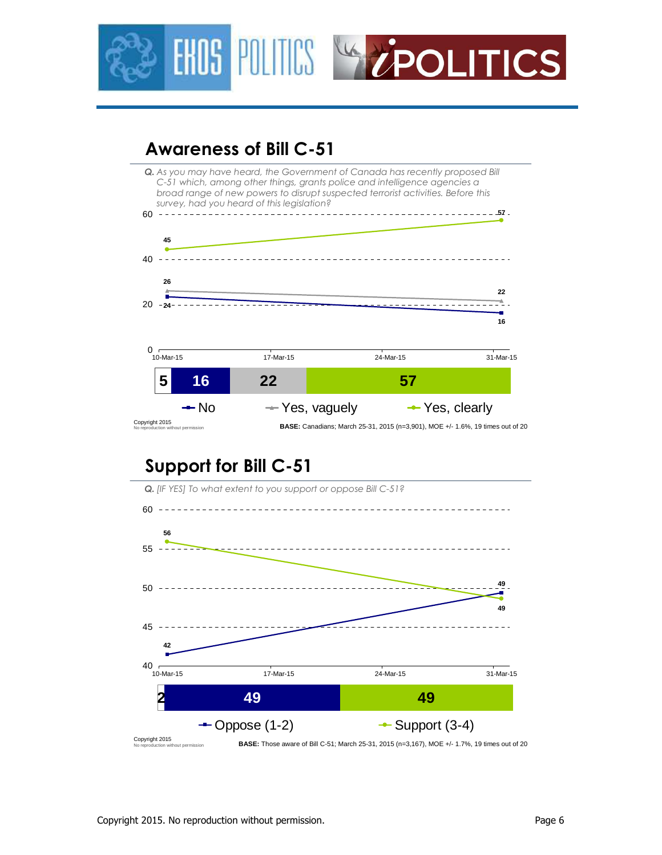



### **Awareness of Bill C-51**



# **Support for Bill C-51**

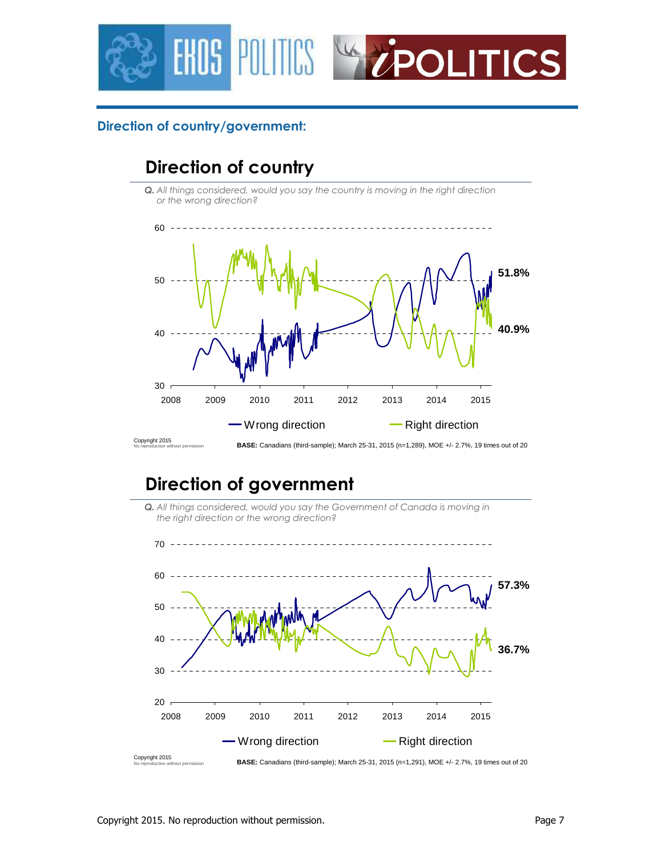



### **Direction of country/government:**

# **Direction of country**

*Q. All things considered, would you say the country is moving in the right direction or the wrong direction?*



# **Direction of government**



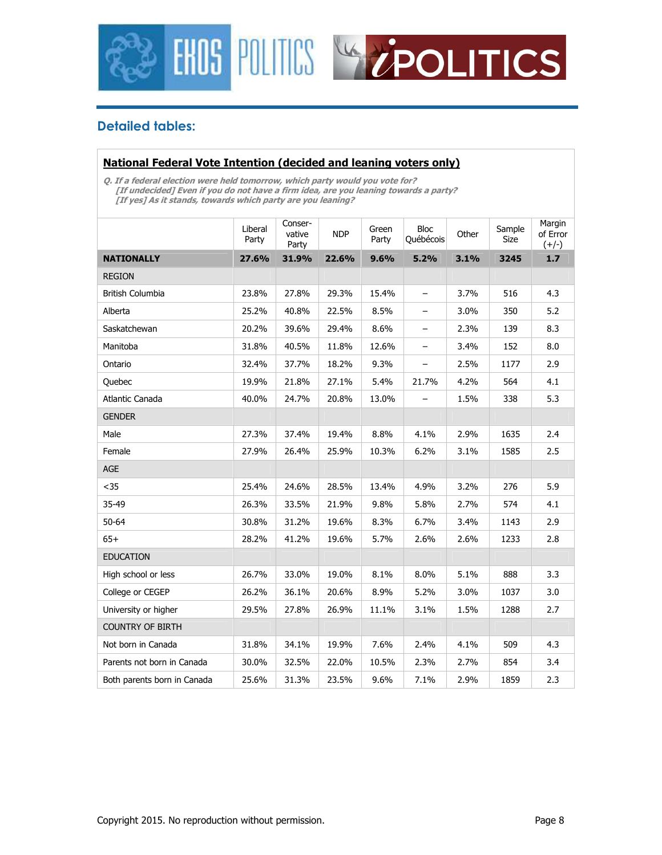



### **Detailed tables:**

#### **National Federal Vote Intention (decided and leaning voters only)**

**Q. If a federal election were held tomorrow, which party would you vote for? [If undecided] Even if you do not have a firm idea, are you leaning towards a party? [If yes] As it stands, towards which party are you leaning?** 

|                             | Liberal<br>Party | Conser-<br>vative<br>Party | <b>NDP</b> | Green<br>Party | <b>Bloc</b><br>Québécois | Other | Sample<br>Size | Margin<br>of Error<br>$(+/-)$ |
|-----------------------------|------------------|----------------------------|------------|----------------|--------------------------|-------|----------------|-------------------------------|
| <b>NATIONALLY</b>           | 27.6%            | 31.9%                      | 22.6%      | 9.6%           | 5.2%                     | 3.1%  | 3245           | 1.7                           |
| <b>REGION</b>               |                  |                            |            |                |                          |       |                |                               |
| <b>British Columbia</b>     | 23.8%            | 27.8%                      | 29.3%      | 15.4%          | $\overline{\phantom{0}}$ | 3.7%  | 516            | 4.3                           |
| Alberta                     | 25.2%            | 40.8%                      | 22.5%      | 8.5%           | -                        | 3.0%  | 350            | 5.2                           |
| Saskatchewan                | 20.2%            | 39.6%                      | 29.4%      | 8.6%           | -                        | 2.3%  | 139            | 8.3                           |
| Manitoba                    | 31.8%            | 40.5%                      | 11.8%      | 12.6%          | $\overline{\phantom{0}}$ | 3.4%  | 152            | 8.0                           |
| Ontario                     | 32.4%            | 37.7%                      | 18.2%      | 9.3%           | -                        | 2.5%  | 1177           | 2.9                           |
| Quebec                      | 19.9%            | 21.8%                      | 27.1%      | 5.4%           | 21.7%                    | 4.2%  | 564            | 4.1                           |
| Atlantic Canada             | 40.0%            | 24.7%                      | 20.8%      | 13.0%          |                          | 1.5%  | 338            | 5.3                           |
| <b>GENDER</b>               |                  |                            |            |                |                          |       |                |                               |
| Male                        | 27.3%            | 37.4%                      | 19.4%      | 8.8%           | 4.1%                     | 2.9%  | 1635           | 2.4                           |
| Female                      | 27.9%            | 26.4%                      | 25.9%      | 10.3%          | 6.2%                     | 3.1%  | 1585           | 2.5                           |
| <b>AGE</b>                  |                  |                            |            |                |                          |       |                |                               |
| $35$                        | 25.4%            | 24.6%                      | 28.5%      | 13.4%          | 4.9%                     | 3.2%  | 276            | 5.9                           |
| 35-49                       | 26.3%            | 33.5%                      | 21.9%      | 9.8%           | 5.8%                     | 2.7%  | 574            | 4.1                           |
| $50 - 64$                   | 30.8%            | 31.2%                      | 19.6%      | 8.3%           | 6.7%                     | 3.4%  | 1143           | 2.9                           |
| $65+$                       | 28.2%            | 41.2%                      | 19.6%      | 5.7%           | 2.6%                     | 2.6%  | 1233           | 2.8                           |
| <b>EDUCATION</b>            |                  |                            |            |                |                          |       |                |                               |
| High school or less         | 26.7%            | 33.0%                      | 19.0%      | 8.1%           | 8.0%                     | 5.1%  | 888            | 3.3                           |
| College or CEGEP            | 26.2%            | 36.1%                      | 20.6%      | 8.9%           | 5.2%                     | 3.0%  | 1037           | 3.0                           |
| University or higher        | 29.5%            | 27.8%                      | 26.9%      | 11.1%          | 3.1%                     | 1.5%  | 1288           | 2.7                           |
| <b>COUNTRY OF BIRTH</b>     |                  |                            |            |                |                          |       |                |                               |
| Not born in Canada          | 31.8%            | 34.1%                      | 19.9%      | 7.6%           | 2.4%                     | 4.1%  | 509            | 4.3                           |
| Parents not born in Canada  | 30.0%            | 32.5%                      | 22.0%      | 10.5%          | 2.3%                     | 2.7%  | 854            | 3.4                           |
| Both parents born in Canada | 25.6%            | 31.3%                      | 23.5%      | 9.6%           | 7.1%                     | 2.9%  | 1859           | 2.3                           |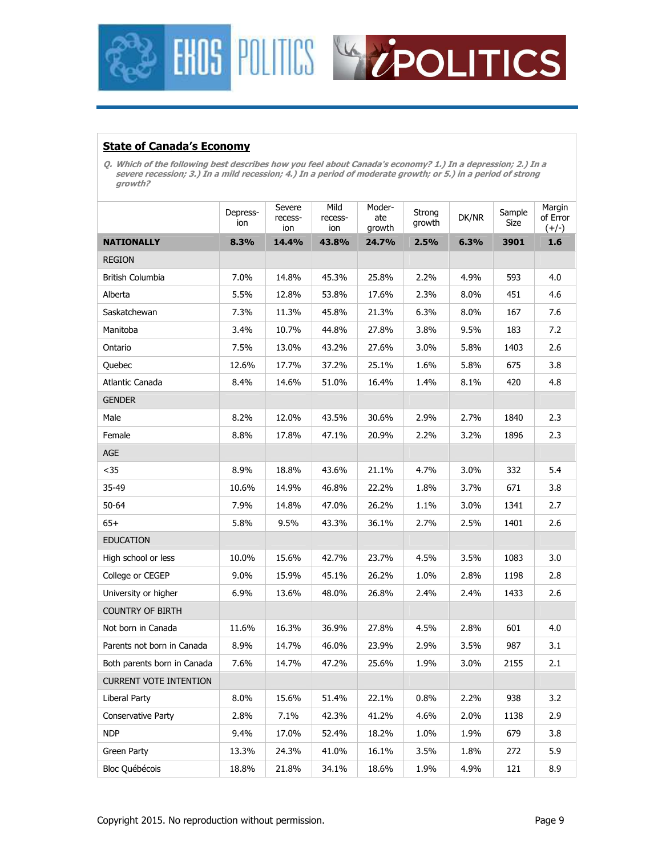



#### **State of Canada's Economy**

**Q. Which of the following best describes how you feel about Canada's economy? 1.) In a depression; 2.) In a severe recession; 3.) In a mild recession; 4.) In a period of moderate growth; or 5.) in a period of strong growth?** 

|                               | Depress-<br>ion | Severe<br>recess-<br>ion | Mild<br>recess-<br>ion | Moder-<br>ate<br>growth | Strong<br>growth | DK/NR | Sample<br>Size | Margin<br>of Error<br>$(+/-)$ |
|-------------------------------|-----------------|--------------------------|------------------------|-------------------------|------------------|-------|----------------|-------------------------------|
| <b>NATIONALLY</b>             | 8.3%            | 14.4%                    | 43.8%                  | 24.7%                   | 2.5%             | 6.3%  | 3901           | 1.6                           |
| <b>REGION</b>                 |                 |                          |                        |                         |                  |       |                |                               |
| <b>British Columbia</b>       | 7.0%            | 14.8%                    | 45.3%                  | 25.8%                   | 2.2%             | 4.9%  | 593            | 4.0                           |
| Alberta                       | 5.5%            | 12.8%                    | 53.8%                  | 17.6%                   | 2.3%             | 8.0%  | 451            | 4.6                           |
| Saskatchewan                  | 7.3%            | 11.3%                    | 45.8%                  | 21.3%                   | 6.3%             | 8.0%  | 167            | 7.6                           |
| Manitoba                      | 3.4%            | 10.7%                    | 44.8%                  | 27.8%                   | 3.8%             | 9.5%  | 183            | 7.2                           |
| Ontario                       | 7.5%            | 13.0%                    | 43.2%                  | 27.6%                   | 3.0%             | 5.8%  | 1403           | 2.6                           |
| Quebec                        | 12.6%           | 17.7%                    | 37.2%                  | 25.1%                   | 1.6%             | 5.8%  | 675            | 3.8                           |
| Atlantic Canada               | 8.4%            | 14.6%                    | 51.0%                  | 16.4%                   | 1.4%             | 8.1%  | 420            | 4.8                           |
| <b>GENDER</b>                 |                 |                          |                        |                         |                  |       |                |                               |
| Male                          | 8.2%            | 12.0%                    | 43.5%                  | 30.6%                   | 2.9%             | 2.7%  | 1840           | 2.3                           |
| Female                        | 8.8%            | 17.8%                    | 47.1%                  | 20.9%                   | 2.2%             | 3.2%  | 1896           | 2.3                           |
| AGE                           |                 |                          |                        |                         |                  |       |                |                               |
| $35$                          | 8.9%            | 18.8%                    | 43.6%                  | 21.1%                   | 4.7%             | 3.0%  | 332            | 5.4                           |
| 35-49                         | 10.6%           | 14.9%                    | 46.8%                  | 22.2%                   | 1.8%             | 3.7%  | 671            | 3.8                           |
| 50-64                         | 7.9%            | 14.8%                    | 47.0%                  | 26.2%                   | 1.1%             | 3.0%  | 1341           | 2.7                           |
| $65+$                         | 5.8%            | 9.5%                     | 43.3%                  | 36.1%                   | 2.7%             | 2.5%  | 1401           | 2.6                           |
| <b>EDUCATION</b>              |                 |                          |                        |                         |                  |       |                |                               |
| High school or less           | 10.0%           | 15.6%                    | 42.7%                  | 23.7%                   | 4.5%             | 3.5%  | 1083           | 3.0                           |
| College or CEGEP              | 9.0%            | 15.9%                    | 45.1%                  | 26.2%                   | 1.0%             | 2.8%  | 1198           | 2.8                           |
| University or higher          | 6.9%            | 13.6%                    | 48.0%                  | 26.8%                   | 2.4%             | 2.4%  | 1433           | 2.6                           |
| <b>COUNTRY OF BIRTH</b>       |                 |                          |                        |                         |                  |       |                |                               |
| Not born in Canada            | 11.6%           | 16.3%                    | 36.9%                  | 27.8%                   | 4.5%             | 2.8%  | 601            | 4.0                           |
| Parents not born in Canada    | 8.9%            | 14.7%                    | 46.0%                  | 23.9%                   | 2.9%             | 3.5%  | 987            | 3.1                           |
| Both parents born in Canada   | 7.6%            | 14.7%                    | 47.2%                  | 25.6%                   | 1.9%             | 3.0%  | 2155           | 2.1                           |
| <b>CURRENT VOTE INTENTION</b> |                 |                          |                        |                         |                  |       |                |                               |
| Liberal Party                 | 8.0%            | 15.6%                    | 51.4%                  | 22.1%                   | 0.8%             | 2.2%  | 938            | 3.2                           |
| <b>Conservative Party</b>     | 2.8%            | 7.1%                     | 42.3%                  | 41.2%                   | 4.6%             | 2.0%  | 1138           | 2.9                           |
| <b>NDP</b>                    | 9.4%            | 17.0%                    | 52.4%                  | 18.2%                   | 1.0%             | 1.9%  | 679            | 3.8                           |
| Green Party                   | 13.3%           | 24.3%                    | 41.0%                  | 16.1%                   | 3.5%             | 1.8%  | 272            | 5.9                           |
| <b>Bloc Québécois</b>         | 18.8%           | 21.8%                    | 34.1%                  | 18.6%                   | 1.9%             | 4.9%  | 121            | 8.9                           |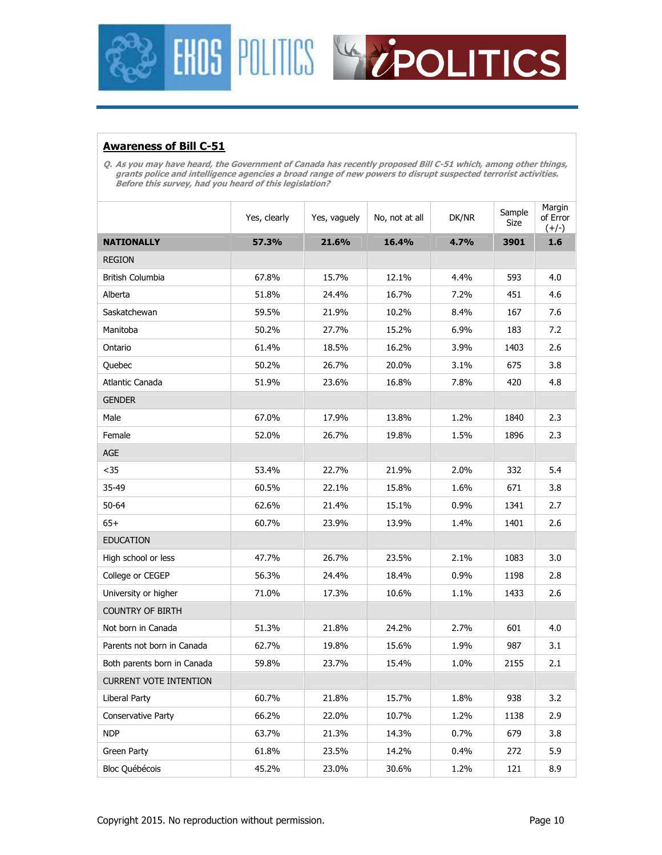



### **Awareness of Bill C-51**

**Q. As you may have heard, the Government of Canada has recently proposed Bill C-51 which, among other things, grants police and intelligence agencies a broad range of new powers to disrupt suspected terrorist activities. Before this survey, had you heard of this legislation?** 

|                               | Yes, clearly | Yes, vaguely | No, not at all | DK/NR | Sample<br>Size | Margin<br>of Error<br>$(+/-)$ |
|-------------------------------|--------------|--------------|----------------|-------|----------------|-------------------------------|
| <b>NATIONALLY</b>             | 57.3%        | 21.6%        | 16.4%          | 4.7%  | 3901           | 1.6                           |
| <b>REGION</b>                 |              |              |                |       |                |                               |
| <b>British Columbia</b>       | 67.8%        | 15.7%        | 12.1%          | 4.4%  | 593            | 4.0                           |
| Alberta                       | 51.8%        | 24.4%        | 16.7%          | 7.2%  | 451            | 4.6                           |
| Saskatchewan                  | 59.5%        | 21.9%        | 10.2%          | 8.4%  | 167            | 7.6                           |
| Manitoba                      | 50.2%        | 27.7%        | 15.2%          | 6.9%  | 183            | 7.2                           |
| Ontario                       | 61.4%        | 18.5%        | 16.2%          | 3.9%  | 1403           | 2.6                           |
| Quebec                        | 50.2%        | 26.7%        | 20.0%          | 3.1%  | 675            | 3.8                           |
| Atlantic Canada               | 51.9%        | 23.6%        | 16.8%          | 7.8%  | 420            | 4.8                           |
| <b>GENDER</b>                 |              |              |                |       |                |                               |
| Male                          | 67.0%        | 17.9%        | 13.8%          | 1.2%  | 1840           | 2.3                           |
| Female                        | 52.0%        | 26.7%        | 19.8%          | 1.5%  | 1896           | 2.3                           |
| AGE                           |              |              |                |       |                |                               |
| $35$                          | 53.4%        | 22.7%        | 21.9%          | 2.0%  | 332            | 5.4                           |
| 35-49                         | 60.5%        | 22.1%        | 15.8%          | 1.6%  | 671            | 3.8                           |
| 50-64                         | 62.6%        | 21.4%        | 15.1%          | 0.9%  | 1341           | 2.7                           |
| $65+$                         | 60.7%        | 23.9%        | 13.9%          | 1.4%  | 1401           | 2.6                           |
| <b>EDUCATION</b>              |              |              |                |       |                |                               |
| High school or less           | 47.7%        | 26.7%        | 23.5%          | 2.1%  | 1083           | 3.0                           |
| College or CEGEP              | 56.3%        | 24.4%        | 18.4%          | 0.9%  | 1198           | 2.8                           |
| University or higher          | 71.0%        | 17.3%        | 10.6%          | 1.1%  | 1433           | 2.6                           |
| <b>COUNTRY OF BIRTH</b>       |              |              |                |       |                |                               |
| Not born in Canada            | 51.3%        | 21.8%        | 24.2%          | 2.7%  | 601            | 4.0                           |
| Parents not born in Canada    | 62.7%        | 19.8%        | 15.6%          | 1.9%  | 987            | 3.1                           |
| Both parents born in Canada   | 59.8%        | 23.7%        | 15.4%          | 1.0%  | 2155           | 2.1                           |
| <b>CURRENT VOTE INTENTION</b> |              |              |                |       |                |                               |
| Liberal Party                 | 60.7%        | 21.8%        | 15.7%          | 1.8%  | 938            | 3.2                           |
| Conservative Party            | 66.2%        | 22.0%        | 10.7%          | 1.2%  | 1138           | 2.9                           |
| <b>NDP</b>                    | 63.7%        | 21.3%        | 14.3%          | 0.7%  | 679            | 3.8                           |
| Green Party                   | 61.8%        | 23.5%        | 14.2%          | 0.4%  | 272            | 5.9                           |
| Bloc Québécois                | 45.2%        | 23.0%        | 30.6%          | 1.2%  | 121            | 8.9                           |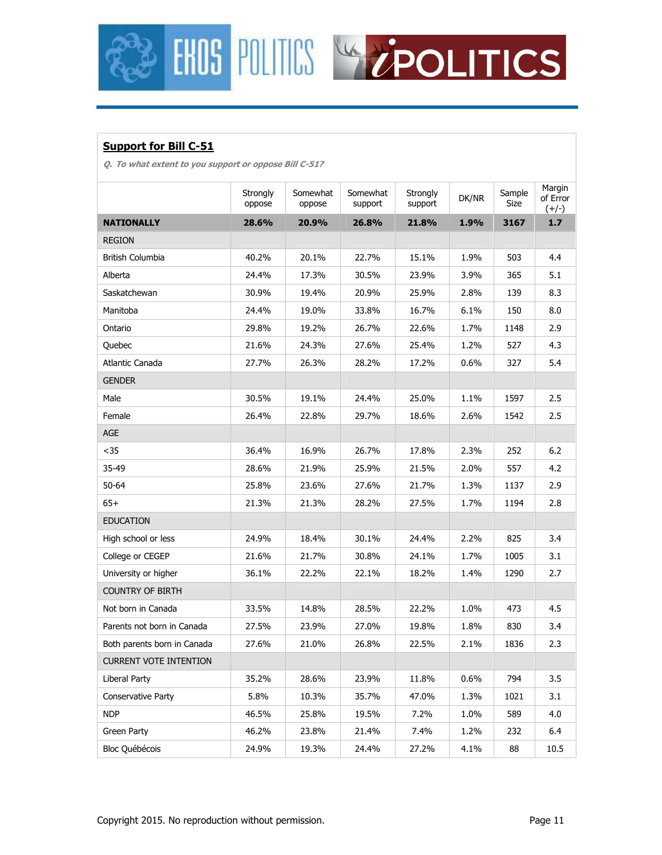



### **Support for Bill C-51**

**Q. To what extent to you support or oppose Bill C-51?** 

|                               | Strongly<br>oppose | Somewhat<br>oppose | Somewhat<br>support | Strongly<br>support | DK/NR | Sample<br>Size | Margin<br>of Error<br>$(+/-)$ |
|-------------------------------|--------------------|--------------------|---------------------|---------------------|-------|----------------|-------------------------------|
| <b>NATIONALLY</b>             | 28.6%              | 20.9%              | 26.8%               | 21.8%               | 1.9%  | 3167           | $1.7$                         |
| <b>REGION</b>                 |                    |                    |                     |                     |       |                |                               |
| British Columbia              | 40.2%              | 20.1%              | 22.7%               | 15.1%               | 1.9%  | 503            | 4.4                           |
| Alberta                       | 24.4%              | 17.3%              | 30.5%               | 23.9%               | 3.9%  | 365            | 5.1                           |
| Saskatchewan                  | 30.9%              | 19.4%              | 20.9%               | 25.9%               | 2.8%  | 139            | 8.3                           |
| Manitoba                      | 24.4%              | 19.0%              | 33.8%               | 16.7%               | 6.1%  | 150            | 8.0                           |
| Ontario                       | 29.8%              | 19.2%              | 26.7%               | 22.6%               | 1.7%  | 1148           | 2.9                           |
| Quebec                        | 21.6%              | 24.3%              | 27.6%               | 25.4%               | 1.2%  | 527            | 4.3                           |
| Atlantic Canada               | 27.7%              | 26.3%              | 28.2%               | 17.2%               | 0.6%  | 327            | 5.4                           |
| <b>GENDER</b>                 |                    |                    |                     |                     |       |                |                               |
| Male                          | 30.5%              | 19.1%              | 24.4%               | 25.0%               | 1.1%  | 1597           | 2.5                           |
| Female                        | 26.4%              | 22.8%              | 29.7%               | 18.6%               | 2.6%  | 1542           | 2.5                           |
| <b>AGE</b>                    |                    |                    |                     |                     |       |                |                               |
| $35$                          | 36.4%              | 16.9%              | 26.7%               | 17.8%               | 2.3%  | 252            | $6.2$                         |
| 35-49                         | 28.6%              | 21.9%              | 25.9%               | 21.5%               | 2.0%  | 557            | 4.2                           |
| $50 - 64$                     | 25.8%              | 23.6%              | 27.6%               | 21.7%               | 1.3%  | 1137           | 2.9                           |
| $65+$                         | 21.3%              | 21.3%              | 28.2%               | 27.5%               | 1.7%  | 1194           | 2.8                           |
| <b>EDUCATION</b>              |                    |                    |                     |                     |       |                |                               |
| High school or less           | 24.9%              | 18.4%              | 30.1%               | 24.4%               | 2.2%  | 825            | 3.4                           |
| College or CEGEP              | 21.6%              | 21.7%              | 30.8%               | 24.1%               | 1.7%  | 1005           | 3.1                           |
| University or higher          | 36.1%              | 22.2%              | 22.1%               | 18.2%               | 1.4%  | 1290           | 2.7                           |
| <b>COUNTRY OF BIRTH</b>       |                    |                    |                     |                     |       |                |                               |
| Not born in Canada            | 33.5%              | 14.8%              | 28.5%               | 22.2%               | 1.0%  | 473            | 4.5                           |
| Parents not born in Canada    | 27.5%              | 23.9%              | 27.0%               | 19.8%               | 1.8%  | 830            | 3.4                           |
| Both parents born in Canada   | 27.6%              | 21.0%              | 26.8%               | 22.5%               | 2.1%  | 1836           | 2.3                           |
| <b>CURRENT VOTE INTENTION</b> |                    |                    |                     |                     |       |                |                               |
| Liberal Party                 | 35.2%              | 28.6%              | 23.9%               | 11.8%               | 0.6%  | 794            | 3.5                           |
| Conservative Party            | 5.8%               | 10.3%              | 35.7%               | 47.0%               | 1.3%  | 1021           | 3.1                           |
| <b>NDP</b>                    | 46.5%              | 25.8%              | 19.5%               | 7.2%                | 1.0%  | 589            | 4.0                           |
| Green Party                   | 46.2%              | 23.8%              | 21.4%               | 7.4%                | 1.2%  | 232            | 6.4                           |
| <b>Bloc Québécois</b>         | 24.9%              | 19.3%              | 24.4%               | 27.2%               | 4.1%  | 88             | 10.5                          |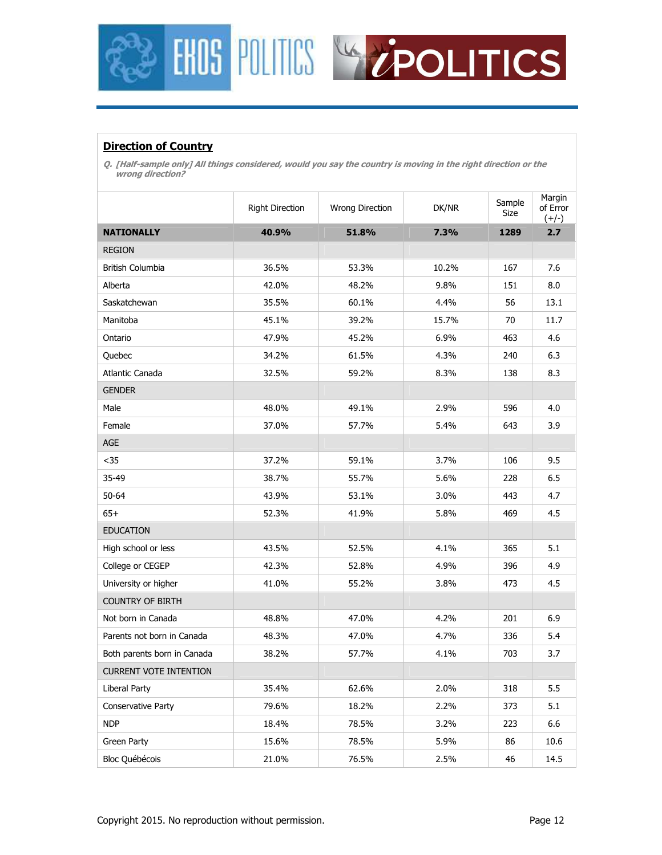



### **Direction of Country**

**Q. [Half-sample only] All things considered, would you say the country is moving in the right direction or the wrong direction?** 

|                               | <b>Right Direction</b> | Wrong Direction | DK/NR | Sample<br>Size | Margin<br>of Error<br>$(+/-)$ |
|-------------------------------|------------------------|-----------------|-------|----------------|-------------------------------|
| <b>NATIONALLY</b>             | 40.9%                  | 51.8%           | 7.3%  | 1289           | 2.7                           |
| <b>REGION</b>                 |                        |                 |       |                |                               |
| British Columbia              | 36.5%                  | 53.3%           | 10.2% | 167            | 7.6                           |
| Alberta                       | 42.0%                  | 48.2%           | 9.8%  | 151            | 8.0                           |
| Saskatchewan                  | 35.5%                  | 60.1%           | 4.4%  | 56             | 13.1                          |
| Manitoba                      | 45.1%                  | 39.2%           | 15.7% | 70             | 11.7                          |
| Ontario                       | 47.9%                  | 45.2%           | 6.9%  | 463            | 4.6                           |
| Quebec                        | 34.2%                  | 61.5%           | 4.3%  | 240            | 6.3                           |
| Atlantic Canada               | 32.5%                  | 59.2%           | 8.3%  | 138            | 8.3                           |
| <b>GENDER</b>                 |                        |                 |       |                |                               |
| Male                          | 48.0%                  | 49.1%           | 2.9%  | 596            | 4.0                           |
| Female                        | 37.0%                  | 57.7%           | 5.4%  | 643            | 3.9                           |
| AGE                           |                        |                 |       |                |                               |
| $35$                          | 37.2%                  | 59.1%           | 3.7%  | 106            | 9.5                           |
| 35-49                         | 38.7%                  | 55.7%           | 5.6%  | 228            | 6.5                           |
| $50 - 64$                     | 43.9%                  | 53.1%           | 3.0%  | 443            | 4.7                           |
| $65+$                         | 52.3%                  | 41.9%           | 5.8%  | 469            | 4.5                           |
| <b>EDUCATION</b>              |                        |                 |       |                |                               |
| High school or less           | 43.5%                  | 52.5%           | 4.1%  | 365            | 5.1                           |
| College or CEGEP              | 42.3%                  | 52.8%           | 4.9%  | 396            | 4.9                           |
| University or higher          | 41.0%                  | 55.2%           | 3.8%  | 473            | 4.5                           |
| <b>COUNTRY OF BIRTH</b>       |                        |                 |       |                |                               |
| Not born in Canada            | 48.8%                  | 47.0%           | 4.2%  | 201            | 6.9                           |
| Parents not born in Canada    | 48.3%                  | 47.0%           | 4.7%  | 336            | 5.4                           |
| Both parents born in Canada   | 38.2%                  | 57.7%           | 4.1%  | 703            | 3.7                           |
| <b>CURRENT VOTE INTENTION</b> |                        |                 |       |                |                               |
| Liberal Party                 | 35.4%                  | 62.6%           | 2.0%  | 318            | 5.5                           |
| Conservative Party            | 79.6%                  | 18.2%           | 2.2%  | 373            | 5.1                           |
| <b>NDP</b>                    | 18.4%                  | 78.5%           | 3.2%  | 223            | 6.6                           |
| Green Party                   | 15.6%                  | 78.5%           | 5.9%  | 86             | 10.6                          |
| <b>Bloc Québécois</b>         | 21.0%                  | 76.5%           | 2.5%  | 46             | 14.5                          |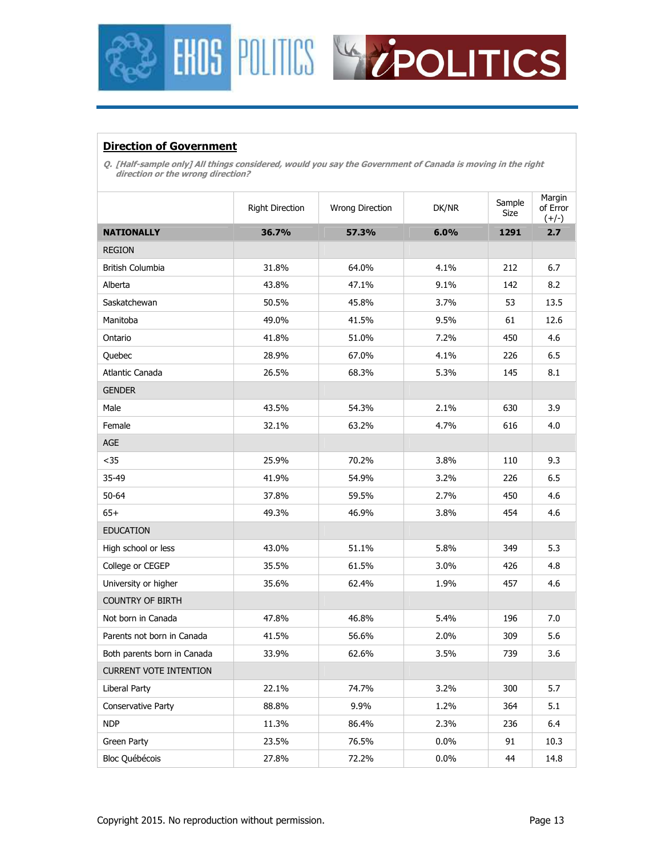



### **Direction of Government**

**Q. [Half-sample only] All things considered, would you say the Government of Canada is moving in the right direction or the wrong direction?** 

|                               | <b>Right Direction</b> | Wrong Direction | DK/NR   | Sample<br>Size | Margin<br>of Error<br>$(+/-)$ |
|-------------------------------|------------------------|-----------------|---------|----------------|-------------------------------|
| <b>NATIONALLY</b>             | 36.7%                  | 57.3%           | 6.0%    | 1291           | 2.7                           |
| <b>REGION</b>                 |                        |                 |         |                |                               |
| <b>British Columbia</b>       | 31.8%                  | 64.0%           | 4.1%    | 212            | 6.7                           |
| Alberta                       | 43.8%                  | 47.1%           | 9.1%    | 142            | 8.2                           |
| Saskatchewan                  | 50.5%                  | 45.8%           | 3.7%    | 53             | 13.5                          |
| Manitoba                      | 49.0%                  | 41.5%           | 9.5%    | 61             | 12.6                          |
| Ontario                       | 41.8%                  | 51.0%           | 7.2%    | 450            | 4.6                           |
| Quebec                        | 28.9%                  | 67.0%           | 4.1%    | 226            | 6.5                           |
| Atlantic Canada               | 26.5%                  | 68.3%           | 5.3%    | 145            | 8.1                           |
| <b>GENDER</b>                 |                        |                 |         |                |                               |
| Male                          | 43.5%                  | 54.3%           | 2.1%    | 630            | 3.9                           |
| Female                        | 32.1%                  | 63.2%           | 4.7%    | 616            | 4.0                           |
| <b>AGE</b>                    |                        |                 |         |                |                               |
| $35$                          | 25.9%                  | 70.2%           | 3.8%    | 110            | 9.3                           |
| 35-49                         | 41.9%                  | 54.9%           | 3.2%    | 226            | 6.5                           |
| 50-64                         | 37.8%                  | 59.5%           | 2.7%    | 450            | 4.6                           |
| $65+$                         | 49.3%                  | 46.9%           | 3.8%    | 454            | 4.6                           |
| <b>EDUCATION</b>              |                        |                 |         |                |                               |
| High school or less           | 43.0%                  | 51.1%           | 5.8%    | 349            | 5.3                           |
| College or CEGEP              | 35.5%                  | 61.5%           | 3.0%    | 426            | 4.8                           |
| University or higher          | 35.6%                  | 62.4%           | 1.9%    | 457            | 4.6                           |
| <b>COUNTRY OF BIRTH</b>       |                        |                 |         |                |                               |
| Not born in Canada            | 47.8%                  | 46.8%           | 5.4%    | 196            | 7.0                           |
| Parents not born in Canada    | 41.5%                  | 56.6%           | 2.0%    | 309            | 5.6                           |
| Both parents born in Canada   | 33.9%                  | 62.6%           | 3.5%    | 739            | 3.6                           |
| <b>CURRENT VOTE INTENTION</b> |                        |                 |         |                |                               |
| Liberal Party                 | 22.1%                  | 74.7%           | 3.2%    | 300            | 5.7                           |
| Conservative Party            | 88.8%                  | 9.9%            | 1.2%    | 364            | 5.1                           |
| <b>NDP</b>                    | 11.3%                  | 86.4%           | 2.3%    | 236            | 6.4                           |
| Green Party                   | 23.5%                  | 76.5%           | $0.0\%$ | 91             | 10.3                          |
| Bloc Québécois                | 27.8%                  | 72.2%           | 0.0%    | 44             | 14.8                          |